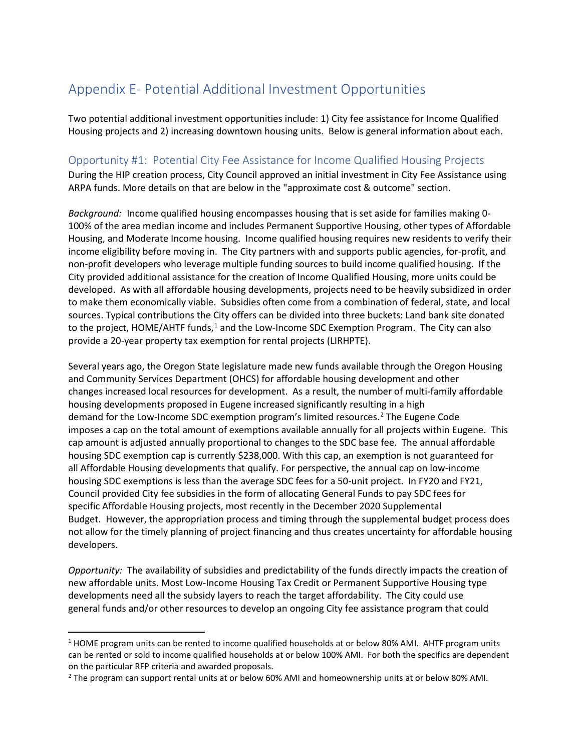## Appendix E- Potential Additional Investment Opportunities

Two potential additional investment opportunities include: 1) City fee assistance for Income Qualified Housing projects and 2) increasing downtown housing units. Below is general information about each.

## Opportunity #1: Potential City Fee Assistance for Income Qualified Housing Projects

During the HIP creation process, City Council approved an initial investment in City Fee Assistance using ARPA funds. More details on that are below in the "approximate cost & outcome" section.

*Background:* Income qualified housing encompasses housing that is set aside for families making 0- 100% of the area median income and includes Permanent Supportive Housing, other types of Affordable Housing, and Moderate Income housing. Income qualified housing requires new residents to verify their income eligibility before moving in. The City partners with and supports public agencies, for-profit, and non-profit developers who leverage multiple funding sources to build income qualified housing. If the City provided additional assistance for the creation of Income Qualified Housing, more units could be developed. As with all affordable housing developments, projects need to be heavily subsidized in order to make them economically viable. Subsidies often come from a combination of federal, state, and local sources. Typical contributions the City offers can be divided into three buckets: Land bank site donated to the project, HOME/AHTF funds, $1$  and the Low-Income SDC Exemption Program. The City can also provide a 20-year property tax exemption for rental projects (LIRHPTE).

Several years ago, the Oregon State legislature made new funds available through the Oregon Housing and Community Services Department (OHCS) for affordable housing development and other changes increased local resources for development. As a result, the number of multi-family affordable housing developments proposed in Eugene increased significantly resulting in a high demand for the Low-Income SDC exemption program's limited resources.<sup>[2](#page-0-1)</sup> The Eugene Code imposes a cap on the total amount of exemptions available annually for all projects within Eugene. This cap amount is adjusted annually proportional to changes to the SDC base fee. The annual affordable housing SDC exemption cap is currently \$238,000. With this cap, an exemption is not guaranteed for all Affordable Housing developments that qualify. For perspective, the annual cap on low-income housing SDC exemptions is less than the average SDC fees for a 50-unit project. In FY20 and FY21, Council provided City fee subsidies in the form of allocating General Funds to pay SDC fees for specific Affordable Housing projects, most recently in the December 2020 Supplemental Budget. However, the appropriation process and timing through the supplemental budget process does not allow for the timely planning of project financing and thus creates uncertainty for affordable housing developers.

*Opportunity:* The availability of subsidies and predictability of the funds directly impacts the creation of new affordable units. Most Low-Income Housing Tax Credit or Permanent Supportive Housing type developments need all the subsidy layers to reach the target affordability. The City could use general funds and/or other resources to develop an ongoing City fee assistance program that could

<span id="page-0-0"></span><sup>&</sup>lt;sup>1</sup> HOME program units can be rented to income qualified households at or below 80% AMI. AHTF program units can be rented or sold to income qualified households at or below 100% AMI. For both the specifics are dependent on the particular RFP criteria and awarded proposals.<br><sup>2</sup> The program can support rental units at or below 60% AMI and homeownership units at or below 80% AMI.

<span id="page-0-1"></span>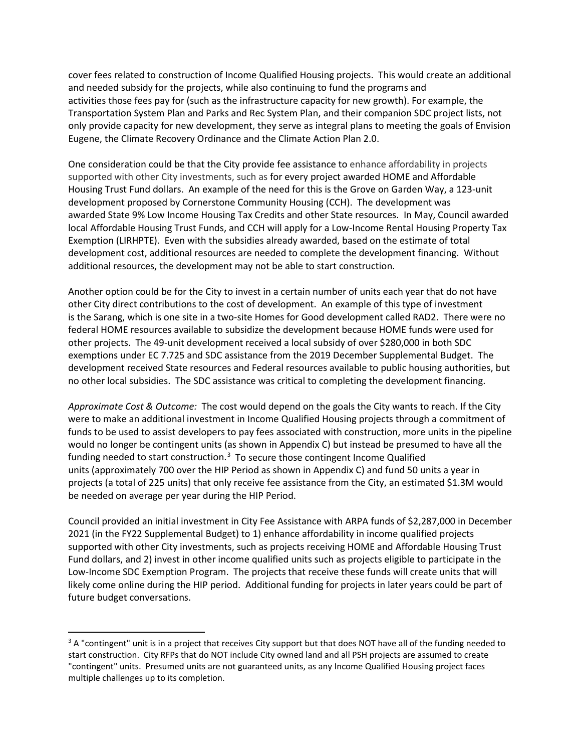cover fees related to construction of Income Qualified Housing projects. This would create an additional and needed subsidy for the projects, while also continuing to fund the programs and activities those fees pay for (such as the infrastructure capacity for new growth). For example, the Transportation System Plan and Parks and Rec System Plan, and their companion SDC project lists, not only provide capacity for new development, they serve as integral plans to meeting the goals of Envision Eugene, the Climate Recovery Ordinance and the Climate Action Plan 2.0.

One consideration could be that the City provide fee assistance to enhance affordability in projects supported with other City investments, such as for every project awarded HOME and Affordable Housing Trust Fund dollars.  An example of the need for this is the Grove on Garden Way, a 123-unit development proposed by Cornerstone Community Housing (CCH).  The development was awarded State 9% Low Income Housing Tax Credits and other State resources.  In May, Council awarded local Affordable Housing Trust Funds, and CCH will apply for a Low-Income Rental Housing Property Tax Exemption (LIRHPTE).  Even with the subsidies already awarded, based on the estimate of total development cost, additional resources are needed to complete the development financing.  Without additional resources, the development may not be able to start construction. 

Another option could be for the City to invest in a certain number of units each year that do not have other City direct contributions to the cost of development. An example of this type of investment is the Sarang, which is one site in a two-site Homes for Good development called RAD2. There were no federal HOME resources available to subsidize the development because HOME funds were used for other projects. The 49-unit development received a local subsidy of over \$280,000 in both SDC exemptions under EC 7.725 and SDC assistance from the 2019 December Supplemental Budget. The development received State resources and Federal resources available to public housing authorities, but no other local subsidies. The SDC assistance was critical to completing the development financing.

*Approximate Cost & Outcome:* The cost would depend on the goals the City wants to reach. If the City were to make an additional investment in Income Qualified Housing projects through a commitment of funds to be used to assist developers to pay fees associated with construction, more units in the pipeline would no longer be contingent units (as shown in Appendix C) but instead be presumed to have all the funding needed to start construction.<sup>[3](#page-1-0)</sup> To secure those contingent Income Qualified units (approximately 700 over the HIP Period as shown in Appendix C) and fund 50 units a year in projects (a total of 225 units) that only receive fee assistance from the City, an estimated \$1.3M would be needed on average per year during the HIP Period.

Council provided an initial investment in City Fee Assistance with ARPA funds of \$2,287,000 in December 2021 (in the FY22 Supplemental Budget) to 1) enhance affordability in income qualified projects supported with other City investments, such as projects receiving HOME and Affordable Housing Trust Fund dollars, and 2) invest in other income qualified units such as projects eligible to participate in the Low-Income SDC Exemption Program. The projects that receive these funds will create units that will likely come online during the HIP period. Additional funding for projects in later years could be part of future budget conversations.

<span id="page-1-0"></span><sup>&</sup>lt;sup>3</sup> A "contingent" unit is in a project that receives City support but that does NOT have all of the funding needed to start construction. City RFPs that do NOT include City owned land and all PSH projects are assumed to create "contingent" units. Presumed units are not guaranteed units, as any Income Qualified Housing project faces multiple challenges up to its completion.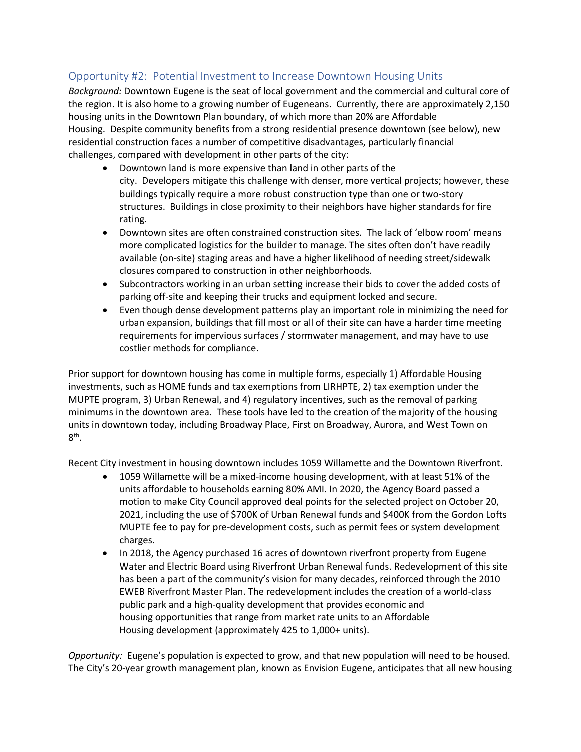## Opportunity #2: Potential Investment to Increase Downtown Housing Units

*Background:*Downtown Eugene is the seat of local government and the commercial and cultural core of the region. It is also home to a growing number of Eugeneans.  Currently, there are approximately 2,150 housing units in the Downtown Plan boundary, of which more than 20% are Affordable Housing.  Despite community benefits from a strong residential presence downtown (see below), new residential construction faces a number of competitive disadvantages, particularly financial challenges, compared with development in other parts of the city: 

- Downtown land is more expensive than land in other parts of the city.  Developers mitigate this challenge with denser, more vertical projects; however, these buildings typically require a more robust construction type than one or two-story structures.  Buildings in close proximity to their neighbors have higher standards for fire rating.
- Downtown sites are often constrained construction sites.  The lack of 'elbow room' means more complicated logistics for the builder to manage. The sites often don't have readily available (on-site) staging areas and have a higher likelihood of needing street/sidewalk closures compared to construction in other neighborhoods.
- Subcontractors working in an urban setting increase their bids to cover the added costs of parking off-site and keeping their trucks and equipment locked and secure.
- Even though dense development patterns play an important role in minimizing the need for urban expansion, buildings that fill most or all of their site can have a harder time meeting requirements for impervious surfaces / stormwater management, and may have to use costlier methods for compliance.

Prior support for downtown housing has come in multiple forms, especially 1) Affordable Housing investments, such as HOME funds and tax exemptions from LIRHPTE, 2) tax exemption under the MUPTE program, 3) Urban Renewal, and 4) regulatory incentives, such as the removal of parking minimums in the downtown area. These tools have led to the creation of the majority of the housing units in downtown today, including Broadway Place, First on Broadway, Aurora, and West Town on 8th.

Recent City investment in housing downtown includes 1059 Willamette and the Downtown Riverfront.

- 1059 Willamette will be a mixed-income housing development, with at least 51% of the units affordable to households earning 80% AMI. In 2020, the Agency Board passed a motion to make City Council approved deal points for the selected project on October 20, 2021, including the use of \$700K of Urban Renewal funds and \$400K from the Gordon Lofts MUPTE fee to pay for pre-development costs, such as permit fees or system development charges.
- In 2018, the Agency purchased 16 acres of downtown riverfront property from Eugene Water and Electric Board using Riverfront Urban Renewal funds. Redevelopment of this site has been a part of the community's vision for many decades, reinforced through the 2010 EWEB Riverfront Master Plan. The redevelopment includes the creation of a world-class public park and a high-quality development that provides economic and housing opportunities that range from market rate units to an Affordable Housing development (approximately 425 to 1,000+ units).

*Opportunity:*Eugene's population is expected to grow, and that new population will need to be housed. The City's 20-year growth management plan, known as Envision Eugene, anticipates that all new housing